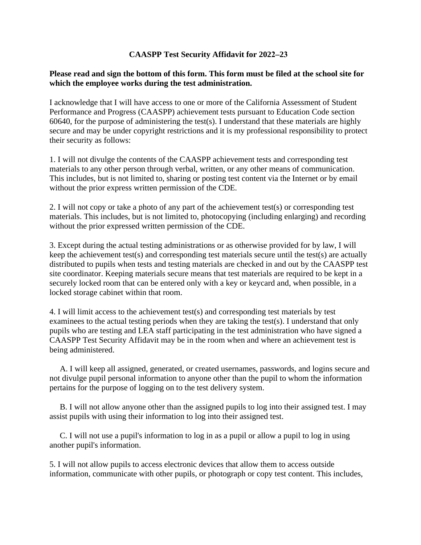## **CAASPP Test Security Affidavit for 2022–23**

## **Please read and sign the bottom of this form. This form must be filed at the school site for which the employee works during the test administration.**

 I acknowledge that I will have access to one or more of the California Assessment of Student Performance and Progress (CAASPP) achievement tests pursuant to Education Code section 60640, for the purpose of administering the test(s). I understand that these materials are highly secure and may be under copyright restrictions and it is my professional responsibility to protect their security as follows:

 1. I will not divulge the contents of the CAASPP achievement tests and corresponding test materials to any other person through verbal, written, or any other means of communication. This includes, but is not limited to, sharing or posting test content via the Internet or by email without the prior express written permission of the CDE.

 without the prior expressed written permission of the CDE. 2. I will not copy or take a photo of any part of the achievement test(s) or corresponding test materials. This includes, but is not limited to, photocopying (including enlarging) and recording

 site coordinator. Keeping materials secure means that test materials are required to be kept in a securely locked room that can be entered only with a key or keycard and, when possible, in a 3. Except during the actual testing administrations or as otherwise provided for by law, I will keep the achievement test(s) and corresponding test materials secure until the test(s) are actually distributed to pupils when tests and testing materials are checked in and out by the CAASPP test locked storage cabinet within that room.

4. I will limit access to the achievement test(s) and corresponding test materials by test examinees to the actual testing periods when they are taking the test(s). I understand that only pupils who are testing and LEA staff participating in the test administration who have signed a CAASPP Test Security Affidavit may be in the room when and where an achievement test is being administered.

A. I will keep all assigned, generated, or created usernames, passwords, and logins secure and not divulge pupil personal information to anyone other than the pupil to whom the information pertains for the purpose of logging on to the test delivery system.

B. I will not allow anyone other than the assigned pupils to log into their assigned test. I may assist pupils with using their information to log into their assigned test.

C. I will not use a pupil's information to log in as a pupil or allow a pupil to log in using another pupil's information.

5. I will not allow pupils to access electronic devices that allow them to access outside information, communicate with other pupils, or photograph or copy test content. This includes,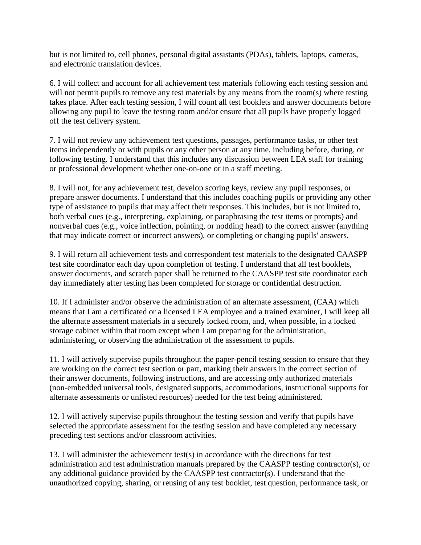but is not limited to, cell phones, personal digital assistants (PDAs), tablets, laptops, cameras, and electronic translation devices.

will not permit pupils to remove any test materials by any means from the room(s) where testing 6. I will collect and account for all achievement test materials following each testing session and takes place. After each testing session, I will count all test booklets and answer documents before allowing any pupil to leave the testing room and/or ensure that all pupils have properly logged off the test delivery system.

7. I will not review any achievement test questions, passages, performance tasks, or other test items independently or with pupils or any other person at any time, including before, during, or following testing. I understand that this includes any discussion between LEA staff for training or professional development whether one-on-one or in a staff meeting.

8. I will not, for any achievement test, develop scoring keys, review any pupil responses, or prepare answer documents. I understand that this includes coaching pupils or providing any other type of assistance to pupils that may affect their responses. This includes, but is not limited to, both verbal cues (e.g., interpreting, explaining, or paraphrasing the test items or prompts) and nonverbal cues (e.g., voice inflection, pointing, or nodding head) to the correct answer (anything that may indicate correct or incorrect answers), or completing or changing pupils' answers.

9. I will return all achievement tests and correspondent test materials to the designated CAASPP test site coordinator each day upon completion of testing. I understand that all test booklets, answer documents, and scratch paper shall be returned to the CAASPP test site coordinator each day immediately after testing has been completed for storage or confidential destruction.

 10. If I administer and/or observe the administration of an alternate assessment, (CAA) which means that I am a certificated or a licensed LEA employee and a trained examiner, I will keep all the alternate assessment materials in a securely locked room, and, when possible, in a locked storage cabinet within that room except when I am preparing for the administration, administering, or observing the administration of the assessment to pupils.

11. I will actively supervise pupils throughout the paper-pencil testing session to ensure that they are working on the correct test section or part, marking their answers in the correct section of their answer documents, following instructions, and are accessing only authorized materials (non-embedded universal tools, designated supports, accommodations, instructional supports for alternate assessments or unlisted resources) needed for the test being administered.

12. I will actively supervise pupils throughout the testing session and verify that pupils have selected the appropriate assessment for the testing session and have completed any necessary preceding test sections and/or classroom activities.

13. I will administer the achievement test(s) in accordance with the directions for test administration and test administration manuals prepared by the CAASPP testing contractor(s), or any additional guidance provided by the CAASPP test contractor(s). I understand that the unauthorized copying, sharing, or reusing of any test booklet, test question, performance task, or